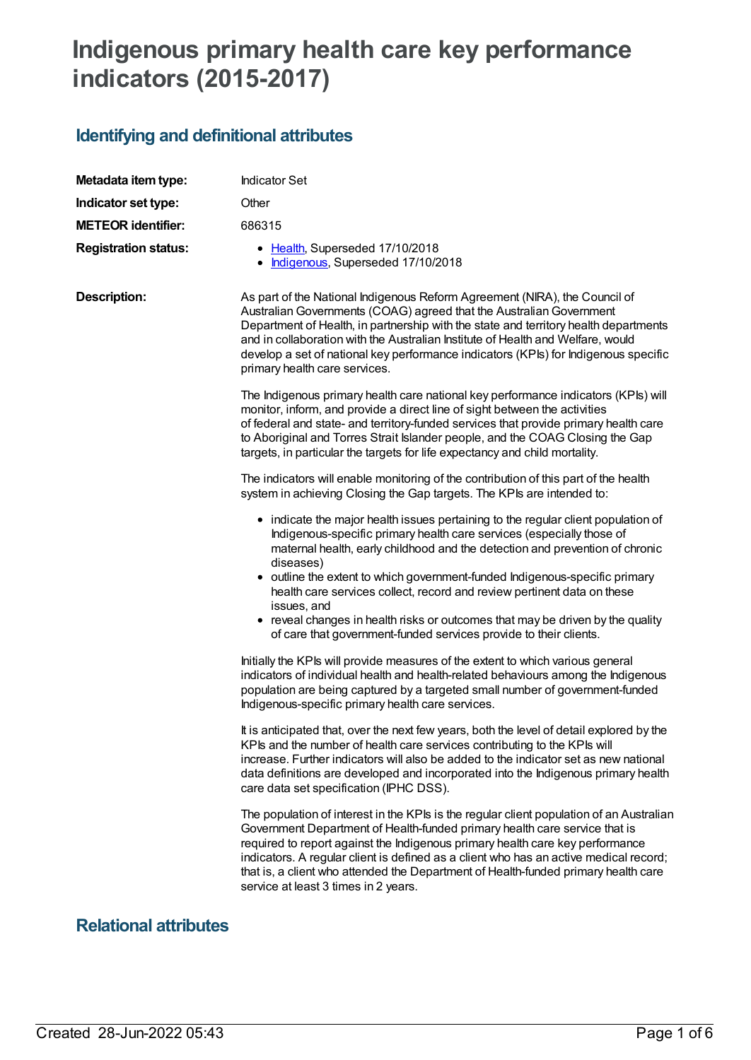# **Indigenous primary health care key performance indicators (2015-2017)**

# **Identifying and definitional attributes**

| Metadata item type:         | <b>Indicator Set</b>                                                                                                                                                                                                                                                                                                                                                                                                                                                                                                                                                                    |  |
|-----------------------------|-----------------------------------------------------------------------------------------------------------------------------------------------------------------------------------------------------------------------------------------------------------------------------------------------------------------------------------------------------------------------------------------------------------------------------------------------------------------------------------------------------------------------------------------------------------------------------------------|--|
| Indicator set type:         | Other                                                                                                                                                                                                                                                                                                                                                                                                                                                                                                                                                                                   |  |
| <b>METEOR identifier:</b>   | 686315                                                                                                                                                                                                                                                                                                                                                                                                                                                                                                                                                                                  |  |
| <b>Registration status:</b> | • Health, Superseded 17/10/2018<br>Indigenous, Superseded 17/10/2018                                                                                                                                                                                                                                                                                                                                                                                                                                                                                                                    |  |
| <b>Description:</b>         | As part of the National Indigenous Reform Agreement (NIRA), the Council of<br>Australian Governments (COAG) agreed that the Australian Government<br>Department of Health, in partnership with the state and territory health departments<br>and in collaboration with the Australian Institute of Health and Welfare, would<br>develop a set of national key performance indicators (KPIs) for Indigenous specific<br>primary health care services.                                                                                                                                    |  |
|                             | The Indigenous primary health care national key performance indicators (KPIs) will<br>monitor, inform, and provide a direct line of sight between the activities<br>of federal and state- and territory-funded services that provide primary health care<br>to Aboriginal and Torres Strait Islander people, and the COAG Closing the Gap<br>targets, in particular the targets for life expectancy and child mortality.                                                                                                                                                                |  |
|                             | The indicators will enable monitoring of the contribution of this part of the health<br>system in achieving Closing the Gap targets. The KPIs are intended to:                                                                                                                                                                                                                                                                                                                                                                                                                          |  |
|                             | • indicate the major health issues pertaining to the regular client population of<br>Indigenous-specific primary health care services (especially those of<br>maternal health, early childhood and the detection and prevention of chronic<br>diseases)<br>• outline the extent to which government-funded Indigenous-specific primary<br>health care services collect, record and review pertinent data on these<br>issues, and<br>• reveal changes in health risks or outcomes that may be driven by the quality<br>of care that government-funded services provide to their clients. |  |
|                             | Initially the KPIs will provide measures of the extent to which various general<br>indicators of individual health and health-related behaviours among the Indigenous<br>population are being captured by a targeted small number of government-funded<br>Indigenous-specific primary health care services.                                                                                                                                                                                                                                                                             |  |
|                             | It is anticipated that, over the next few years, both the level of detail explored by the<br>KPIs and the number of health care services contributing to the KPIs will<br>increase. Further indicators will also be added to the indicator set as new national<br>data definitions are developed and incorporated into the Indigenous primary health<br>care data set specification (IPHC DSS).                                                                                                                                                                                         |  |
|                             | The population of interest in the KPIs is the regular client population of an Australian<br>Government Department of Health-funded primary health care service that is<br>required to report against the Indigenous primary health care key performance<br>indicators. A regular client is defined as a client who has an active medical record;<br>that is, a client who attended the Department of Health-funded primary health care<br>service at least 3 times in 2 years.                                                                                                          |  |

### **Relational attributes**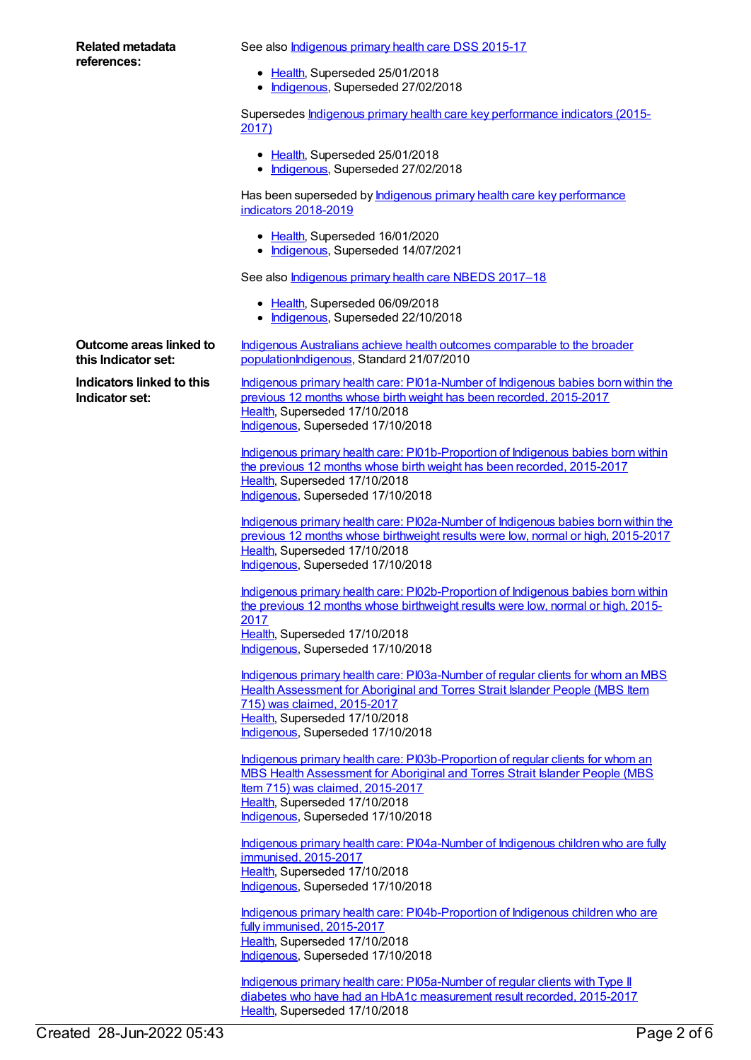#### **Related metadata references:**

See also **[Indigenous](https://meteor.aihw.gov.au/content/585036) primary health care DSS 2015-17** 

- [Health](https://meteor.aihw.gov.au/RegistrationAuthority/12), Superseded 25/01/2018
- [Indigenous](https://meteor.aihw.gov.au/RegistrationAuthority/6), Superseded 27/02/2018

Supersedes Indigenous primary health care key [performance](https://meteor.aihw.gov.au/content/663886) indicators (2015- 2017)

- [Health](https://meteor.aihw.gov.au/RegistrationAuthority/12), Superseded 25/01/2018
- [Indigenous](https://meteor.aihw.gov.au/RegistrationAuthority/6), Superseded 27/02/2018

Has been superseded by **Indigenous primary health care key [performance](https://meteor.aihw.gov.au/content/687913)** indicators 2018-2019

- [Health](https://meteor.aihw.gov.au/RegistrationAuthority/12), Superseded 16/01/2020
- [Indigenous](https://meteor.aihw.gov.au/RegistrationAuthority/6), Superseded 14/07/2021

See also *[Indigenous](https://meteor.aihw.gov.au/content/686603) primary health care NBEDS 2017-18* 

- [Health](https://meteor.aihw.gov.au/RegistrationAuthority/12), Superseded 06/09/2018
- [Indigenous](https://meteor.aihw.gov.au/RegistrationAuthority/6), Superseded 22/10/2018

**Outcome areas linked to this Indicator set:**

**Indicators linked to this Indicator set:**

Indigenous Australians achieve health outcomes comparable to the broader [populationIndigenous,](https://meteor.aihw.gov.au/content/396115) Standard 21/07/2010

Indigenous primary health care: [PI01a-Number](https://meteor.aihw.gov.au/content/686339) of Indigenous babies born within the previous 12 months whose birth weight has been recorded, 2015-2017 [Health](https://meteor.aihw.gov.au/RegistrationAuthority/12), Superseded 17/10/2018 [Indigenous](https://meteor.aihw.gov.au/RegistrationAuthority/6), Superseded 17/10/2018

Indigenous primary health care: [PI01b-Proportion](https://meteor.aihw.gov.au/content/686344) of Indigenous babies born within the previous 12 months whose birth weight has been recorded, 2015-2017 [Health](https://meteor.aihw.gov.au/RegistrationAuthority/12), Superseded 17/10/2018 [Indigenous](https://meteor.aihw.gov.au/RegistrationAuthority/6), Superseded 17/10/2018

Indigenous primary health care: [PI02a-Number](https://meteor.aihw.gov.au/content/686346) of Indigenous babies born within the previous 12 months whose birthweight results were low, normal or high, 2015-2017 [Health](https://meteor.aihw.gov.au/RegistrationAuthority/12), Superseded 17/10/2018 [Indigenous](https://meteor.aihw.gov.au/RegistrationAuthority/6), Superseded 17/10/2018

Indigenous primary health care: [PI02b-Proportion](https://meteor.aihw.gov.au/content/686348) of Indigenous babies born within the previous 12 months whose birthweight results were low, normal or high, 2015- 2017 [Health](https://meteor.aihw.gov.au/RegistrationAuthority/12), Superseded 17/10/2018 [Indigenous](https://meteor.aihw.gov.au/RegistrationAuthority/6), Superseded 17/10/2018

Indigenous primary health care: [PI03a-Number](https://meteor.aihw.gov.au/content/686350) of regular clients for whom an MBS Health Assessment for Aboriginal and Torres Strait Islander People (MBS Item 715) was claimed, 2015-2017 [Health](https://meteor.aihw.gov.au/RegistrationAuthority/12), Superseded 17/10/2018 [Indigenous](https://meteor.aihw.gov.au/RegistrationAuthority/6), Superseded 17/10/2018

Indigenous primary health care: [PI03b-Proportion](https://meteor.aihw.gov.au/content/686405) of regular clients for whom an MBS Health Assessment for Aboriginal and Torres Strait Islander People (MBS Item 715) was claimed, 2015-2017 [Health](https://meteor.aihw.gov.au/RegistrationAuthority/12), Superseded 17/10/2018 [Indigenous](https://meteor.aihw.gov.au/RegistrationAuthority/6), Superseded 17/10/2018

Indigenous primary health care: [PI04a-Number](https://meteor.aihw.gov.au/content/686410) of Indigenous children who are fully immunised, 2015-2017 [Health](https://meteor.aihw.gov.au/RegistrationAuthority/12), Superseded 17/10/2018 [Indigenous](https://meteor.aihw.gov.au/RegistrationAuthority/6), Superseded 17/10/2018

Indigenous primary health care: [PI04b-Proportion](https://meteor.aihw.gov.au/content/686416) of Indigenous children who are fully immunised, 2015-2017 [Health](https://meteor.aihw.gov.au/RegistrationAuthority/12), Superseded 17/10/2018 [Indigenous](https://meteor.aihw.gov.au/RegistrationAuthority/6), Superseded 17/10/2018

Indigenous primary health care: [PI05a-Number](https://meteor.aihw.gov.au/content/686420) of regular clients with Type II diabetes who have had an HbA1c measurement result recorded, 2015-2017 [Health](https://meteor.aihw.gov.au/RegistrationAuthority/12), Superseded 17/10/2018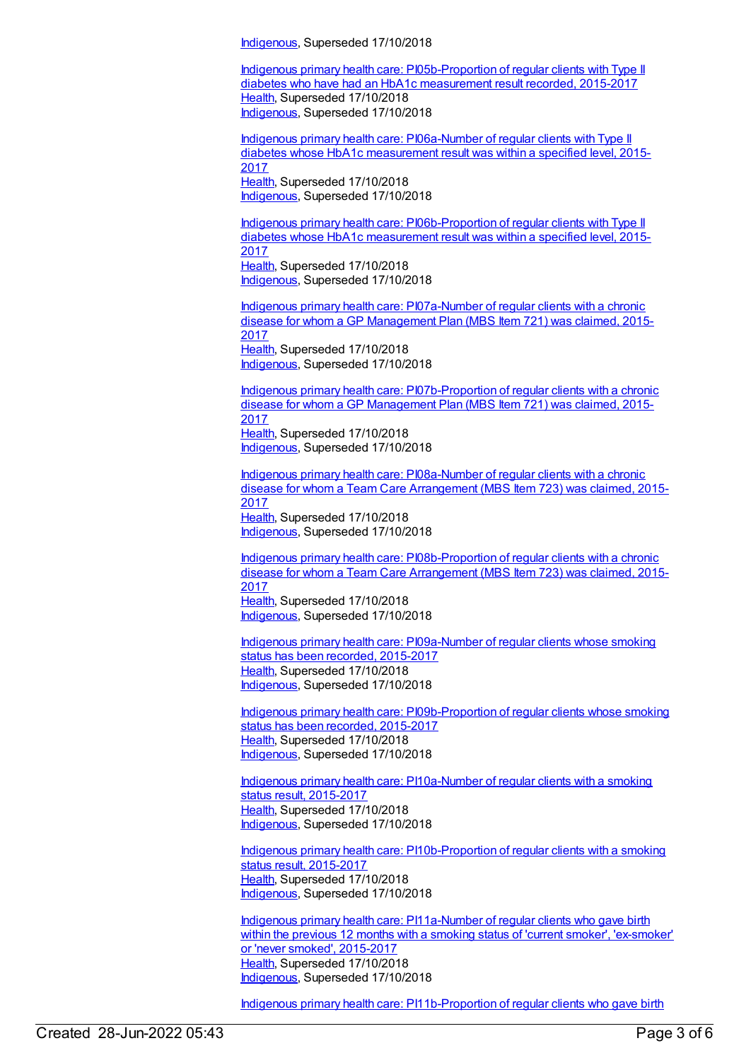[Indigenous](https://meteor.aihw.gov.au/RegistrationAuthority/6), Superseded 17/10/2018

Indigenous primary health care: [PI05b-Proportion](https://meteor.aihw.gov.au/content/686352) of regular clients with Type II diabetes who have had an HbA1c measurement result recorded, 2015-2017 [Health](https://meteor.aihw.gov.au/RegistrationAuthority/12), Superseded 17/10/2018 [Indigenous](https://meteor.aihw.gov.au/RegistrationAuthority/6), Superseded 17/10/2018

Indigenous primary health care: [PI06a-Number](https://meteor.aihw.gov.au/content/686425) of regular clients with Type II diabetes whose HbA1c measurement result was within a specified level, 2015- 2017 [Health](https://meteor.aihw.gov.au/RegistrationAuthority/12), Superseded 17/10/2018 [Indigenous](https://meteor.aihw.gov.au/RegistrationAuthority/6), Superseded 17/10/2018

Indigenous primary health care: [PI06b-Proportion](https://meteor.aihw.gov.au/content/686356) of regular clients with Type II diabetes whose HbA1c measurement result was within a specified level, 2015- 2017 [Health](https://meteor.aihw.gov.au/RegistrationAuthority/12), Superseded 17/10/2018 [Indigenous](https://meteor.aihw.gov.au/RegistrationAuthority/6), Superseded 17/10/2018

Indigenous primary health care: [PI07a-Number](https://meteor.aihw.gov.au/content/686434) of regular clients with a chronic disease for whom a GP Management Plan (MBS Item 721) was claimed, 2015- 2017 [Health](https://meteor.aihw.gov.au/RegistrationAuthority/12), Superseded 17/10/2018 [Indigenous](https://meteor.aihw.gov.au/RegistrationAuthority/6), Superseded 17/10/2018

Indigenous primary health care: [PI07b-Proportion](https://meteor.aihw.gov.au/content/686438) of regular clients with a chronic disease for whom a GP Management Plan (MBS Item 721) was claimed, 2015- 2017 [Health](https://meteor.aihw.gov.au/RegistrationAuthority/12), Superseded 17/10/2018 [Indigenous](https://meteor.aihw.gov.au/RegistrationAuthority/6), Superseded 17/10/2018

Indigenous primary health care: [PI08a-Number](https://meteor.aihw.gov.au/content/686442) of regular clients with a chronic disease for whom a Team Care Arrangement (MBS Item 723) was claimed, 2015- 2017 [Health](https://meteor.aihw.gov.au/RegistrationAuthority/12), Superseded 17/10/2018 [Indigenous](https://meteor.aihw.gov.au/RegistrationAuthority/6), Superseded 17/10/2018

Indigenous primary health care: [PI08b-Proportion](https://meteor.aihw.gov.au/content/686445) of regular clients with a chronic disease for whom a Team Care Arrangement (MBS Item 723) was claimed, 2015- 2017 [Health](https://meteor.aihw.gov.au/RegistrationAuthority/12), Superseded 17/10/2018

[Indigenous](https://meteor.aihw.gov.au/RegistrationAuthority/6), Superseded 17/10/2018

Indigenous primary health care: [PI09a-Number](https://meteor.aihw.gov.au/content/686447) of regular clients whose smoking status has been recorded, 2015-2017 [Health](https://meteor.aihw.gov.au/RegistrationAuthority/12), Superseded 17/10/2018 [Indigenous](https://meteor.aihw.gov.au/RegistrationAuthority/6), Superseded 17/10/2018

Indigenous primary health care: [PI09b-Proportion](https://meteor.aihw.gov.au/content/686451) of regular clients whose smoking status has been recorded, 2015-2017 [Health](https://meteor.aihw.gov.au/RegistrationAuthority/12), Superseded 17/10/2018 [Indigenous](https://meteor.aihw.gov.au/RegistrationAuthority/6), Superseded 17/10/2018

Indigenous primary health care: [PI10a-Number](https://meteor.aihw.gov.au/content/686454) of regular clients with a smoking status result, 2015-2017 [Health](https://meteor.aihw.gov.au/RegistrationAuthority/12), Superseded 17/10/2018 [Indigenous](https://meteor.aihw.gov.au/RegistrationAuthority/6), Superseded 17/10/2018

Indigenous primary health care: [PI10b-Proportion](https://meteor.aihw.gov.au/content/686456) of regular clients with a smoking status result, 2015-2017 [Health](https://meteor.aihw.gov.au/RegistrationAuthority/12), Superseded 17/10/2018 [Indigenous](https://meteor.aihw.gov.au/RegistrationAuthority/6), Superseded 17/10/2018

Indigenous primary health care: [PI11a-Number](https://meteor.aihw.gov.au/content/686460) of regular clients who gave birth within the previous 12 months with a smoking status of 'current smoker', 'ex-smoker' or 'never smoked', 2015-2017 [Health](https://meteor.aihw.gov.au/RegistrationAuthority/12), Superseded 17/10/2018 [Indigenous](https://meteor.aihw.gov.au/RegistrationAuthority/6), Superseded 17/10/2018

Indigenous primary health care: PI11b-Proportion of regular clients who gave birth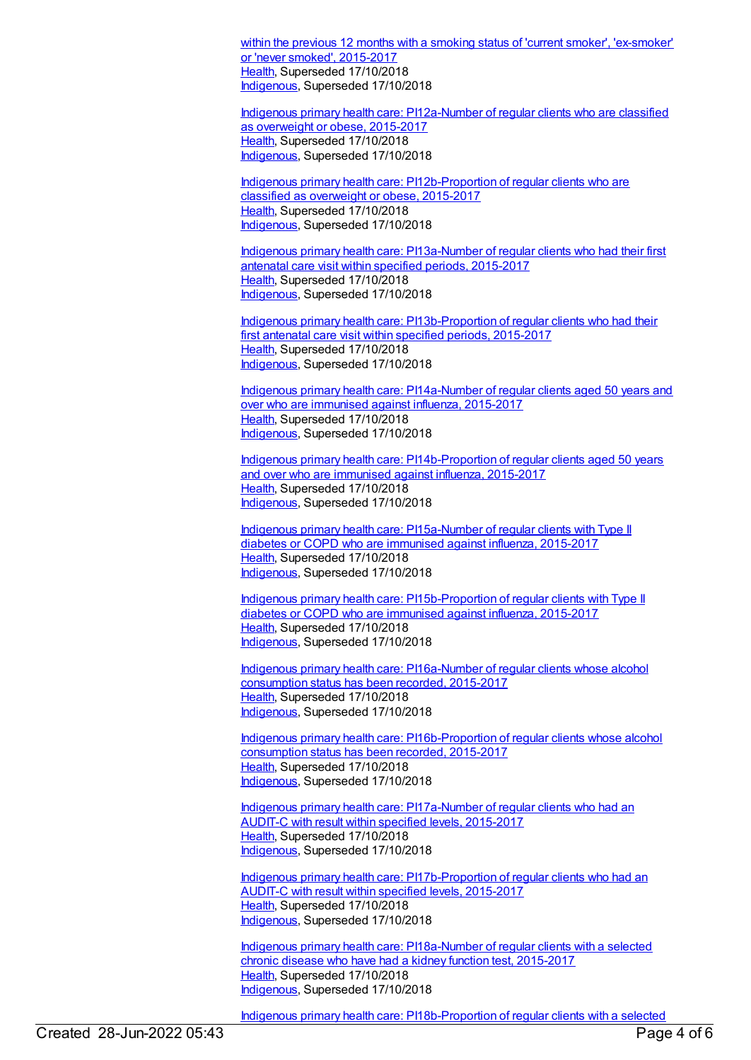within the previous 12 months with a smoking status of 'current smoker', ['ex-smoker](https://meteor.aihw.gov.au/content/686465)' or 'never smoked', 2015-2017 [Health](https://meteor.aihw.gov.au/RegistrationAuthority/12), Superseded 17/10/2018 [Indigenous](https://meteor.aihw.gov.au/RegistrationAuthority/6), Superseded 17/10/2018

Indigenous primary health care: [PI12a-Number](https://meteor.aihw.gov.au/content/686468) of regular clients who are classified as overweight or obese, 2015-2017 [Health](https://meteor.aihw.gov.au/RegistrationAuthority/12), Superseded 17/10/2018 [Indigenous](https://meteor.aihw.gov.au/RegistrationAuthority/6), Superseded 17/10/2018

Indigenous primary health care: [PI12b-Proportion](https://meteor.aihw.gov.au/content/686470) of regular clients who are classified as overweight or obese, 2015-2017 [Health](https://meteor.aihw.gov.au/RegistrationAuthority/12), Superseded 17/10/2018 [Indigenous](https://meteor.aihw.gov.au/RegistrationAuthority/6), Superseded 17/10/2018

Indigenous primary health care: [PI13a-Number](https://meteor.aihw.gov.au/content/686473) of regular clients who had their first antenatal care visit within specified periods, 2015-2017 [Health](https://meteor.aihw.gov.au/RegistrationAuthority/12), Superseded 17/10/2018 [Indigenous](https://meteor.aihw.gov.au/RegistrationAuthority/6), Superseded 17/10/2018

Indigenous primary health care: [PI13b-Proportion](https://meteor.aihw.gov.au/content/686477) of regular clients who had their first antenatal care visit within specified periods, 2015-2017 [Health](https://meteor.aihw.gov.au/RegistrationAuthority/12), Superseded 17/10/2018 [Indigenous](https://meteor.aihw.gov.au/RegistrationAuthority/6), Superseded 17/10/2018

Indigenous primary health care: [PI14a-Number](https://meteor.aihw.gov.au/content/686480) of regular clients aged 50 years and over who are immunised against influenza, 2015-2017 [Health](https://meteor.aihw.gov.au/RegistrationAuthority/12), Superseded 17/10/2018 [Indigenous](https://meteor.aihw.gov.au/RegistrationAuthority/6), Superseded 17/10/2018

Indigenous primary health care: [PI14b-Proportion](https://meteor.aihw.gov.au/content/686484) of regular clients aged 50 years and over who are immunised against influenza, 2015-2017 [Health](https://meteor.aihw.gov.au/RegistrationAuthority/12), Superseded 17/10/2018 [Indigenous](https://meteor.aihw.gov.au/RegistrationAuthority/6), Superseded 17/10/2018

Indigenous primary health care: [PI15a-Number](https://meteor.aihw.gov.au/content/686342) of regular clients with Type II diabetes or COPD who are immunised against influenza, 2015-2017 [Health](https://meteor.aihw.gov.au/RegistrationAuthority/12), Superseded 17/10/2018 [Indigenous](https://meteor.aihw.gov.au/RegistrationAuthority/6), Superseded 17/10/2018

Indigenous primary health care: [PI15b-Proportion](https://meteor.aihw.gov.au/content/686388) of regular clients with Type II diabetes or COPD who are immunised against influenza, 2015-2017 [Health](https://meteor.aihw.gov.au/RegistrationAuthority/12), Superseded 17/10/2018 [Indigenous](https://meteor.aihw.gov.au/RegistrationAuthority/6), Superseded 17/10/2018

Indigenous primary health care: [PI16a-Number](https://meteor.aihw.gov.au/content/686354) of regular clients whose alcohol consumption status has been recorded, 2015-2017 [Health](https://meteor.aihw.gov.au/RegistrationAuthority/12), Superseded 17/10/2018 [Indigenous](https://meteor.aihw.gov.au/RegistrationAuthority/6), Superseded 17/10/2018

Indigenous primary health care: [PI16b-Proportion](https://meteor.aihw.gov.au/content/686399) of regular clients whose alcohol consumption status has been recorded, 2015-2017 [Health](https://meteor.aihw.gov.au/RegistrationAuthority/12), Superseded 17/10/2018 [Indigenous](https://meteor.aihw.gov.au/RegistrationAuthority/6), Superseded 17/10/2018

Indigenous primary health care: [PI17a-Number](https://meteor.aihw.gov.au/content/686358) of regular clients who had an AUDIT-C with result within specified levels, 2015-2017 [Health](https://meteor.aihw.gov.au/RegistrationAuthority/12), Superseded 17/10/2018 [Indigenous](https://meteor.aihw.gov.au/RegistrationAuthority/6), Superseded 17/10/2018

Indigenous primary health care: [PI17b-Proportion](https://meteor.aihw.gov.au/content/686360) of regular clients who had an AUDIT-C with result within specified levels, 2015-2017 [Health](https://meteor.aihw.gov.au/RegistrationAuthority/12), Superseded 17/10/2018 [Indigenous](https://meteor.aihw.gov.au/RegistrationAuthority/6), Superseded 17/10/2018

Indigenous primary health care: [PI18a-Number](https://meteor.aihw.gov.au/content/686362) of regular clients with a selected chronic disease who have had a kidney function test, 2015-2017 [Health](https://meteor.aihw.gov.au/RegistrationAuthority/12), Superseded 17/10/2018 [Indigenous](https://meteor.aihw.gov.au/RegistrationAuthority/6), Superseded 17/10/2018

Indigenous primary health care: [PI18b-Proportion](https://meteor.aihw.gov.au/content/686364) of regular clients with a selected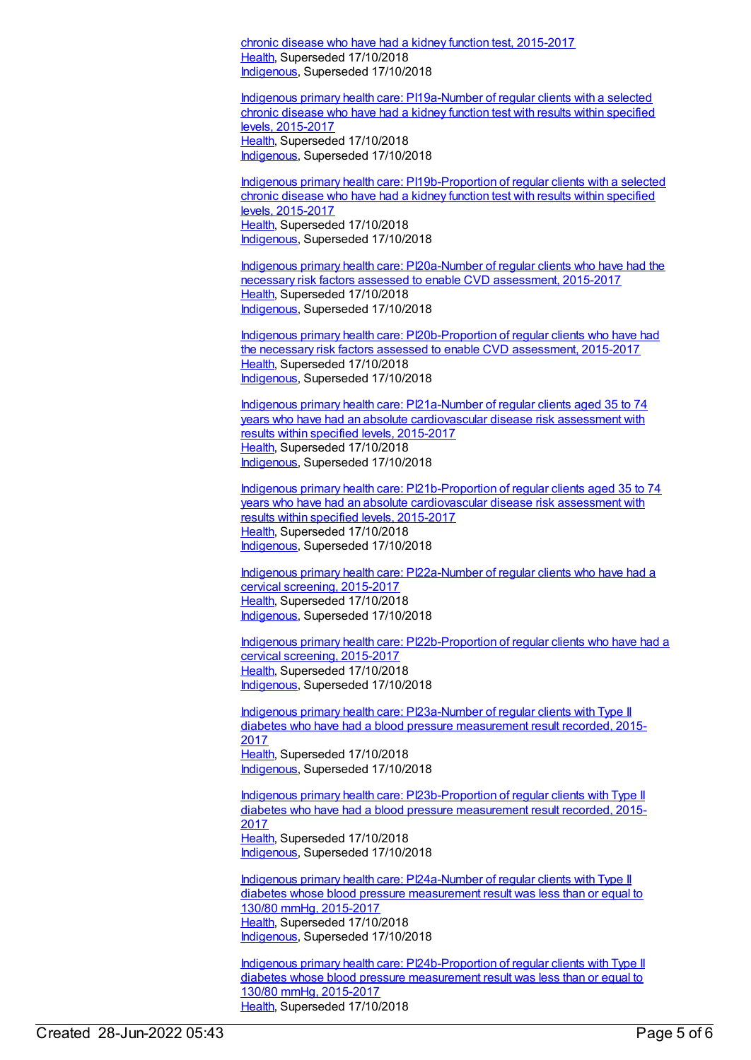chronic disease who have had a kidney function test, 2015-2017 [Health](https://meteor.aihw.gov.au/RegistrationAuthority/12), Superseded 17/10/2018 [Indigenous](https://meteor.aihw.gov.au/RegistrationAuthority/6), Superseded 17/10/2018

Indigenous primary health care: [PI19a-Number](https://meteor.aihw.gov.au/content/686366) of regular clients with a selected chronic disease who have had a kidney function test with results within specified levels, 2015-2017 [Health](https://meteor.aihw.gov.au/RegistrationAuthority/12), Superseded 17/10/2018 [Indigenous](https://meteor.aihw.gov.au/RegistrationAuthority/6), Superseded 17/10/2018

Indigenous primary health care: [PI19b-Proportion](https://meteor.aihw.gov.au/content/686368) of regular clients with a selected chronic disease who have had a kidney function test with results within specified levels, 2015-2017 [Health](https://meteor.aihw.gov.au/RegistrationAuthority/12), Superseded 17/10/2018 [Indigenous](https://meteor.aihw.gov.au/RegistrationAuthority/6), Superseded 17/10/2018

Indigenous primary health care: [PI20a-Number](https://meteor.aihw.gov.au/content/686370) of regular clients who have had the necessary risk factors assessed to enable CVD assessment, 2015-2017 [Health](https://meteor.aihw.gov.au/RegistrationAuthority/12), Superseded 17/10/2018 [Indigenous](https://meteor.aihw.gov.au/RegistrationAuthority/6), Superseded 17/10/2018

Indigenous primary health care: [PI20b-Proportion](https://meteor.aihw.gov.au/content/686372) of regular clients who have had the necessary risk factors assessed to enable CVD assessment, 2015-2017 [Health](https://meteor.aihw.gov.au/RegistrationAuthority/12), Superseded 17/10/2018 [Indigenous](https://meteor.aihw.gov.au/RegistrationAuthority/6), Superseded 17/10/2018

Indigenous primary health care: [PI21a-Number](https://meteor.aihw.gov.au/content/686374) of regular clients aged 35 to 74 years who have had an absolute cardiovascular disease risk assessment with results within specified levels, 2015-2017 [Health](https://meteor.aihw.gov.au/RegistrationAuthority/12), Superseded 17/10/2018 [Indigenous](https://meteor.aihw.gov.au/RegistrationAuthority/6), Superseded 17/10/2018

Indigenous primary health care: [PI21b-Proportion](https://meteor.aihw.gov.au/content/686376) of regular clients aged 35 to 74 years who have had an absolute cardiovascular disease risk assessment with results within specified levels, 2015-2017 [Health](https://meteor.aihw.gov.au/RegistrationAuthority/12), Superseded 17/10/2018 [Indigenous](https://meteor.aihw.gov.au/RegistrationAuthority/6), Superseded 17/10/2018

Indigenous primary health care: [PI22a-Number](https://meteor.aihw.gov.au/content/686323) of regular clients who have had a cervical screening, 2015-2017 [Health](https://meteor.aihw.gov.au/RegistrationAuthority/12), Superseded 17/10/2018 [Indigenous](https://meteor.aihw.gov.au/RegistrationAuthority/6), Superseded 17/10/2018

Indigenous primary health care: [PI22b-Proportion](https://meteor.aihw.gov.au/content/686306) of regular clients who have had a cervical screening, 2015-2017 [Health](https://meteor.aihw.gov.au/RegistrationAuthority/12), Superseded 17/10/2018 [Indigenous](https://meteor.aihw.gov.au/RegistrationAuthority/6), Superseded 17/10/2018

Indigenous primary health care: [PI23a-Number](https://meteor.aihw.gov.au/content/686379) of regular clients with Type II diabetes who have had a blood pressure measurement result recorded, 2015- 2017 [Health](https://meteor.aihw.gov.au/RegistrationAuthority/12), Superseded 17/10/2018 [Indigenous](https://meteor.aihw.gov.au/RegistrationAuthority/6), Superseded 17/10/2018

Indigenous primary health care: [PI23b-Proportion](https://meteor.aihw.gov.au/content/686381) of regular clients with Type II diabetes who have had a blood pressure measurement result recorded, 2015- 2017 [Health](https://meteor.aihw.gov.au/RegistrationAuthority/12), Superseded 17/10/2018 [Indigenous](https://meteor.aihw.gov.au/RegistrationAuthority/6), Superseded 17/10/2018

Indigenous primary health care: [PI24a-Number](https://meteor.aihw.gov.au/content/686383) of regular clients with Type II diabetes whose blood pressure measurement result was less than or equal to 130/80 mmHg, 2015-2017 [Health](https://meteor.aihw.gov.au/RegistrationAuthority/12), Superseded 17/10/2018 [Indigenous](https://meteor.aihw.gov.au/RegistrationAuthority/6), Superseded 17/10/2018

Indigenous primary health care: [PI24b-Proportion](https://meteor.aihw.gov.au/content/686385) of regular clients with Type II diabetes whose blood pressure measurement result was less than or equal to 130/80 mmHg, 2015-2017 [Health](https://meteor.aihw.gov.au/RegistrationAuthority/12), Superseded 17/10/2018